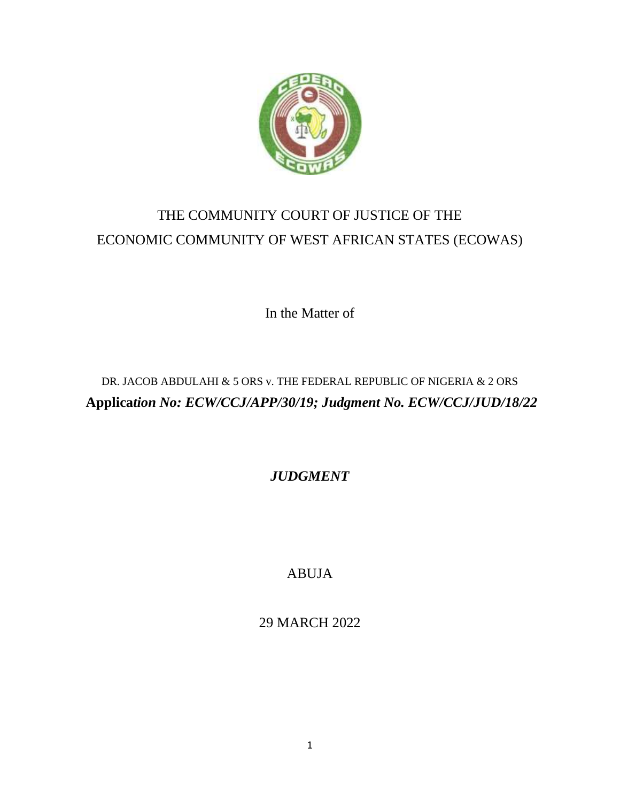

# THE COMMUNITY COURT OF JUSTICE OF THE ECONOMIC COMMUNITY OF WEST AFRICAN STATES (ECOWAS)

In the Matter of

## DR. JACOB ABDULAHI & 5 ORS v. THE FEDERAL REPUBLIC OF NIGERIA & 2 ORS **Applica***tion No: ECW/CCJ/APP/30/19; Judgment No. ECW/CCJ/JUD/18/22*

*JUDGMENT*

ABUJA

29 MARCH 2022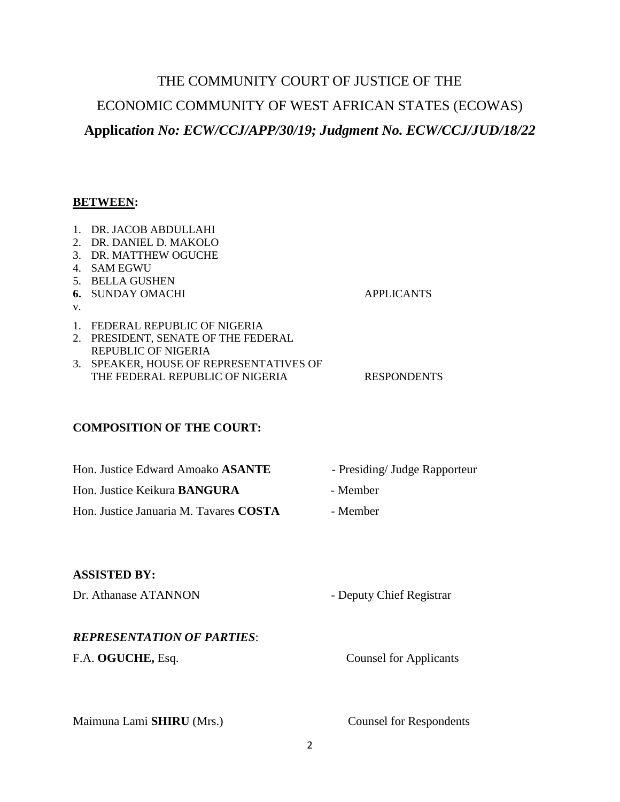# THE COMMUNITY COURT OF JUSTICE OF THE ECONOMIC COMMUNITY OF WEST AFRICAN STATES (ECOWAS) **Applica***tion No: ECW/CCJ/APP/30/19; Judgment No. ECW/CCJ/JUD/18/22*

#### **BETWEEN:**

|             | 1. DR. JACOB ABDULLAHI                  |                    |
|-------------|-----------------------------------------|--------------------|
| $2^{\circ}$ | DR. DANIEL D. MAKOLO                    |                    |
|             | 3. DR. MATTHEW OGUCHE                   |                    |
|             | 4. SAM EGWU                             |                    |
|             | <b>BELLA GUSHEN</b>                     |                    |
|             | <b>6. SUNDAY OMACHI</b>                 | <b>APPLICANTS</b>  |
| V.          |                                         |                    |
|             | FEDERAL REPUBLIC OF NIGERIA             |                    |
|             | 2. PRESIDENT, SENATE OF THE FEDERAL     |                    |
|             | REPUBLIC OF NIGERIA                     |                    |
|             | 3. SPEAKER, HOUSE OF REPRESENTATIVES OF |                    |
|             | THE FEDERAL REPUBLIC OF NIGERIA         | <b>RESPONDENTS</b> |
|             |                                         |                    |

#### **COMPOSITION OF THE COURT:**

| Hon. Justice Edward Amoako ASANTE      | - Presiding/ Judge Rapporteur |
|----------------------------------------|-------------------------------|
| Hon. Justice Keikura <b>BANGURA</b>    | - Member                      |
| Hon. Justice Januaria M. Tavares COSTA | - Member                      |

#### **ASSISTED BY:**

| Dr. Athanase ATANNON | - Deputy Chief Registrar |
|----------------------|--------------------------|
|----------------------|--------------------------|

#### *REPRESENTATION OF PARTIES*:

F.A. **OGUCHE,** Esq. Counsel for Applicants

Maimuna Lami **SHIRU** (Mrs.) Counsel for Respondents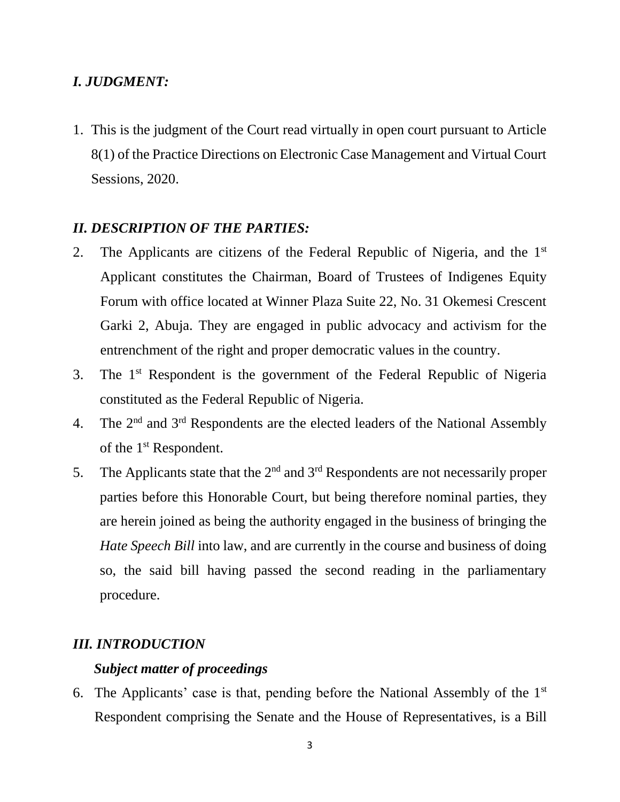## *I. JUDGMENT:*

1. This is the judgment of the Court read virtually in open court pursuant to Article 8(1) of the Practice Directions on Electronic Case Management and Virtual Court Sessions, 2020.

## *II. DESCRIPTION OF THE PARTIES:*

- 2. The Applicants are citizens of the Federal Republic of Nigeria, and the 1<sup>st</sup> Applicant constitutes the Chairman, Board of Trustees of Indigenes Equity Forum with office located at Winner Plaza Suite 22, No. 31 Okemesi Crescent Garki 2, Abuja. They are engaged in public advocacy and activism for the entrenchment of the right and proper democratic values in the country.
- 3. The  $1<sup>st</sup>$  Respondent is the government of the Federal Republic of Nigeria constituted as the Federal Republic of Nigeria.
- 4. The  $2<sup>nd</sup>$  and  $3<sup>rd</sup>$  Respondents are the elected leaders of the National Assembly of the 1<sup>st</sup> Respondent.
- 5. The Applicants state that the  $2<sup>nd</sup>$  and  $3<sup>rd</sup>$  Respondents are not necessarily proper parties before this Honorable Court, but being therefore nominal parties, they are herein joined as being the authority engaged in the business of bringing the *Hate Speech Bill* into law, and are currently in the course and business of doing so, the said bill having passed the second reading in the parliamentary procedure.

## *III. INTRODUCTION*

## *Subject matter of proceedings*

6. The Applicants' case is that, pending before the National Assembly of the 1st Respondent comprising the Senate and the House of Representatives, is a Bill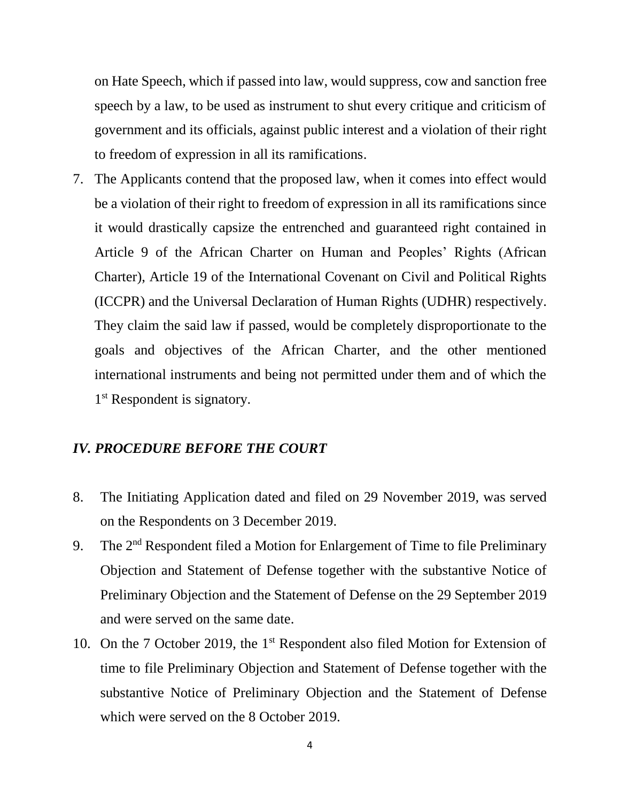on Hate Speech, which if passed into law, would suppress, cow and sanction free speech by a law, to be used as instrument to shut every critique and criticism of government and its officials, against public interest and a violation of their right to freedom of expression in all its ramifications.

7. The Applicants contend that the proposed law, when it comes into effect would be a violation of their right to freedom of expression in all its ramifications since it would drastically capsize the entrenched and guaranteed right contained in Article 9 of the African Charter on Human and Peoples' Rights (African Charter), Article 19 of the International Covenant on Civil and Political Rights (ICCPR) and the Universal Declaration of Human Rights (UDHR) respectively. They claim the said law if passed, would be completely disproportionate to the goals and objectives of the African Charter, and the other mentioned international instruments and being not permitted under them and of which the 1<sup>st</sup> Respondent is signatory.

#### *IV. PROCEDURE BEFORE THE COURT*

- 8. The Initiating Application dated and filed on 29 November 2019, was served on the Respondents on 3 December 2019.
- 9. The  $2<sup>nd</sup>$  Respondent filed a Motion for Enlargement of Time to file Preliminary Objection and Statement of Defense together with the substantive Notice of Preliminary Objection and the Statement of Defense on the 29 September 2019 and were served on the same date.
- 10. On the 7 October 2019, the 1<sup>st</sup> Respondent also filed Motion for Extension of time to file Preliminary Objection and Statement of Defense together with the substantive Notice of Preliminary Objection and the Statement of Defense which were served on the 8 October 2019.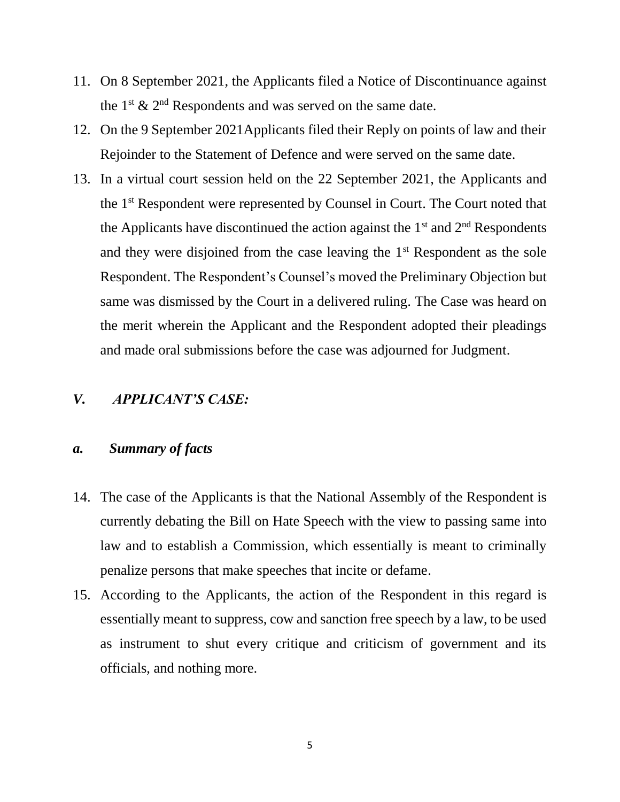- 11. On 8 September 2021, the Applicants filed a Notice of Discontinuance against the  $1^{st}$  &  $2^{nd}$  Respondents and was served on the same date.
- 12. On the 9 September 2021Applicants filed their Reply on points of law and their Rejoinder to the Statement of Defence and were served on the same date.
- 13. In a virtual court session held on the 22 September 2021, the Applicants and the 1st Respondent were represented by Counsel in Court. The Court noted that the Applicants have discontinued the action against the  $1<sup>st</sup>$  and  $2<sup>nd</sup>$  Respondents and they were disjoined from the case leaving the  $1<sup>st</sup>$  Respondent as the sole Respondent. The Respondent's Counsel's moved the Preliminary Objection but same was dismissed by the Court in a delivered ruling. The Case was heard on the merit wherein the Applicant and the Respondent adopted their pleadings and made oral submissions before the case was adjourned for Judgment.

#### *V. APPLICANT'S CASE:*

## *a. Summary of facts*

- 14. The case of the Applicants is that the National Assembly of the Respondent is currently debating the Bill on Hate Speech with the view to passing same into law and to establish a Commission, which essentially is meant to criminally penalize persons that make speeches that incite or defame.
- 15. According to the Applicants, the action of the Respondent in this regard is essentially meant to suppress, cow and sanction free speech by a law, to be used as instrument to shut every critique and criticism of government and its officials, and nothing more.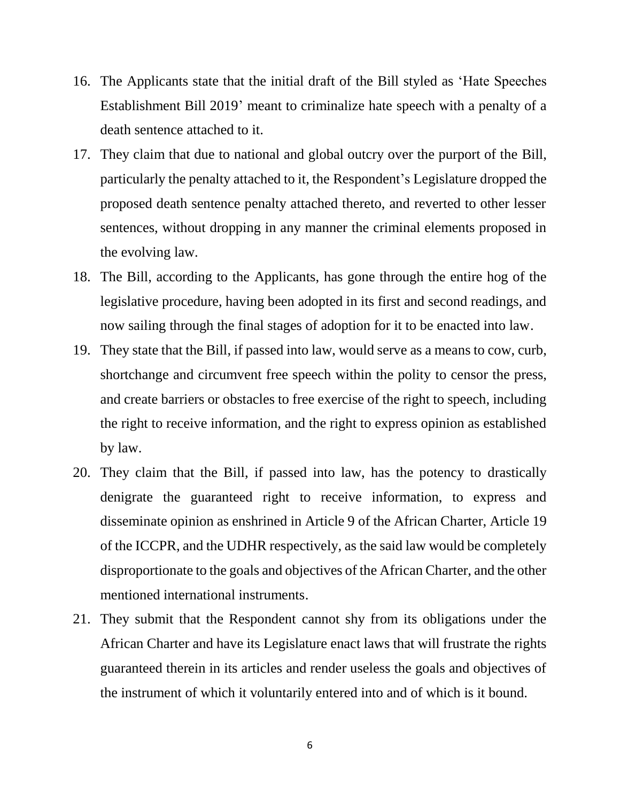- 16. The Applicants state that the initial draft of the Bill styled as 'Hate Speeches Establishment Bill 2019' meant to criminalize hate speech with a penalty of a death sentence attached to it.
- 17. They claim that due to national and global outcry over the purport of the Bill, particularly the penalty attached to it, the Respondent's Legislature dropped the proposed death sentence penalty attached thereto, and reverted to other lesser sentences, without dropping in any manner the criminal elements proposed in the evolving law.
- 18. The Bill, according to the Applicants, has gone through the entire hog of the legislative procedure, having been adopted in its first and second readings, and now sailing through the final stages of adoption for it to be enacted into law.
- 19. They state that the Bill, if passed into law, would serve as a means to cow, curb, shortchange and circumvent free speech within the polity to censor the press, and create barriers or obstacles to free exercise of the right to speech, including the right to receive information, and the right to express opinion as established by law.
- 20. They claim that the Bill, if passed into law, has the potency to drastically denigrate the guaranteed right to receive information, to express and disseminate opinion as enshrined in Article 9 of the African Charter, Article 19 of the ICCPR, and the UDHR respectively, as the said law would be completely disproportionate to the goals and objectives of the African Charter, and the other mentioned international instruments.
- 21. They submit that the Respondent cannot shy from its obligations under the African Charter and have its Legislature enact laws that will frustrate the rights guaranteed therein in its articles and render useless the goals and objectives of the instrument of which it voluntarily entered into and of which is it bound.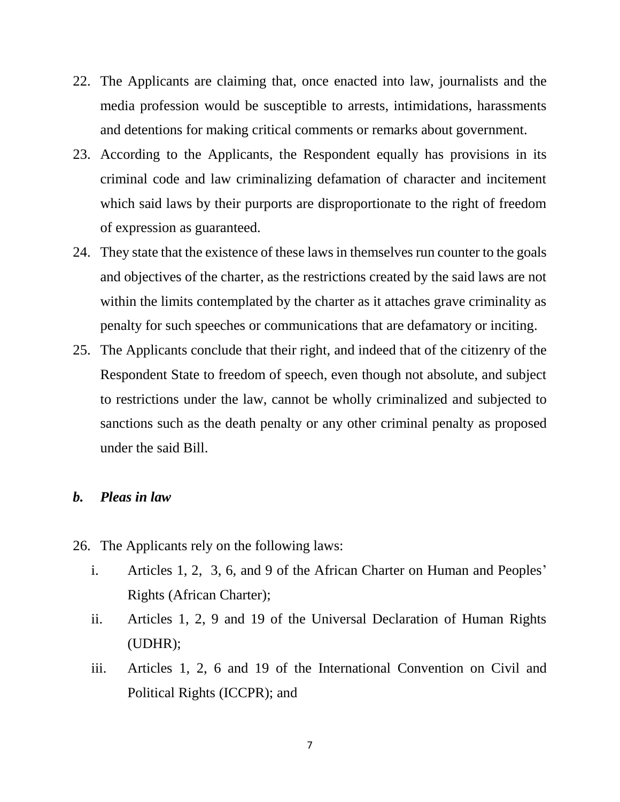- 22. The Applicants are claiming that, once enacted into law, journalists and the media profession would be susceptible to arrests, intimidations, harassments and detentions for making critical comments or remarks about government.
- 23. According to the Applicants, the Respondent equally has provisions in its criminal code and law criminalizing defamation of character and incitement which said laws by their purports are disproportionate to the right of freedom of expression as guaranteed.
- 24. They state that the existence of these laws in themselves run counter to the goals and objectives of the charter, as the restrictions created by the said laws are not within the limits contemplated by the charter as it attaches grave criminality as penalty for such speeches or communications that are defamatory or inciting.
- 25. The Applicants conclude that their right, and indeed that of the citizenry of the Respondent State to freedom of speech, even though not absolute, and subject to restrictions under the law, cannot be wholly criminalized and subjected to sanctions such as the death penalty or any other criminal penalty as proposed under the said Bill.

## *b. Pleas in law*

- 26. The Applicants rely on the following laws:
	- i. Articles 1, 2, 3, 6, and 9 of the African Charter on Human and Peoples' Rights (African Charter);
	- ii. Articles 1, 2, 9 and 19 of the Universal Declaration of Human Rights (UDHR);
	- iii. Articles 1, 2, 6 and 19 of the International Convention on Civil and Political Rights (ICCPR); and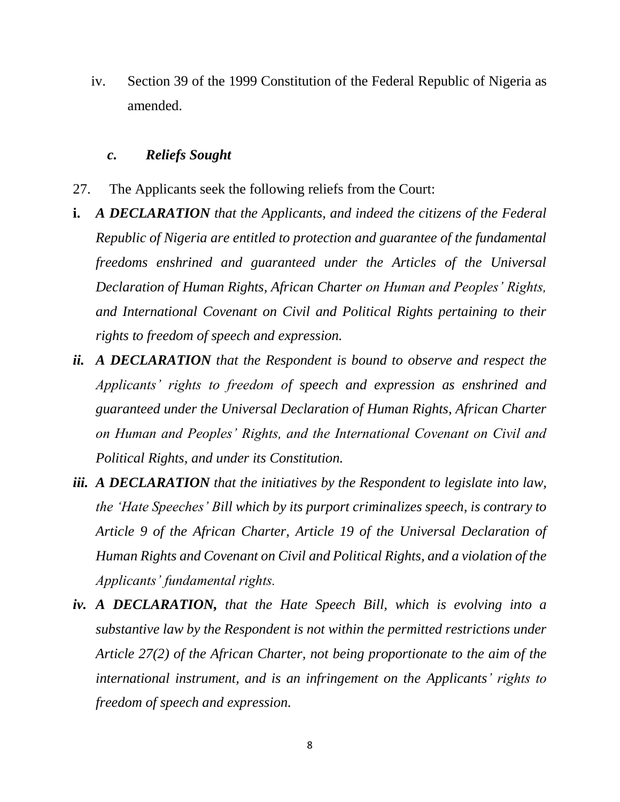iv. Section 39 of the 1999 Constitution of the Federal Republic of Nigeria as amended.

#### *c. Reliefs Sought*

- 27. The Applicants seek the following reliefs from the Court:
- **i.** *A DECLARATION that the Applicants, and indeed the citizens of the Federal Republic of Nigeria are entitled to protection and guarantee of the fundamental freedoms enshrined and guaranteed under the Articles of the Universal Declaration of Human Rights, African Charter on Human and Peoples' Rights, and International Covenant on Civil and Political Rights pertaining to their rights to freedom of speech and expression.*
- *ii. A DECLARATION that the Respondent is bound to observe and respect the Applicants' rights to freedom of speech and expression as enshrined and guaranteed under the Universal Declaration of Human Rights, African Charter on Human and Peoples' Rights, and the International Covenant on Civil and Political Rights, and under its Constitution.*
- *iii. A DECLARATION that the initiatives by the Respondent to legislate into law, the 'Hate Speeches' Bill which by its purport criminalizes speech, is contrary to Article 9 of the African Charter, Article 19 of the Universal Declaration of Human Rights and Covenant on Civil and Political Rights, and a violation of the Applicants' fundamental rights.*
- *iv. A DECLARATION, that the Hate Speech Bill, which is evolving into a substantive law by the Respondent is not within the permitted restrictions under Article 27(2) of the African Charter, not being proportionate to the aim of the international instrument, and is an infringement on the Applicants' rights to freedom of speech and expression.*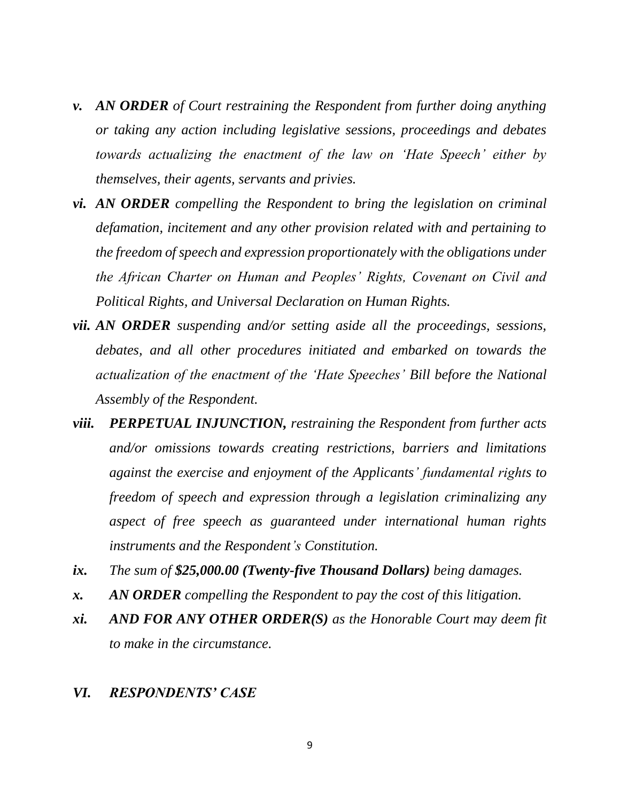- *v. AN ORDER of Court restraining the Respondent from further doing anything or taking any action including legislative sessions, proceedings and debates towards actualizing the enactment of the law on 'Hate Speech' either by themselves, their agents, servants and privies.*
- *vi. AN ORDER compelling the Respondent to bring the legislation on criminal defamation, incitement and any other provision related with and pertaining to the freedom of speech and expression proportionately with the obligations under the African Charter on Human and Peoples' Rights, Covenant on Civil and Political Rights, and Universal Declaration on Human Rights.*
- *vii. AN ORDER suspending and/or setting aside all the proceedings, sessions, debates, and all other procedures initiated and embarked on towards the actualization of the enactment of the 'Hate Speeches' Bill before the National Assembly of the Respondent.*
- *viii. PERPETUAL INJUNCTION, restraining the Respondent from further acts and/or omissions towards creating restrictions, barriers and limitations against the exercise and enjoyment of the Applicants' fundamental rights to freedom of speech and expression through a legislation criminalizing any aspect of free speech as guaranteed under international human rights instruments and the Respondent's Constitution.*
- *ix. The sum of \$25,000.00 (Twenty-five Thousand Dollars) being damages.*
- *x. AN ORDER compelling the Respondent to pay the cost of this litigation.*
- *xi. AND FOR ANY OTHER ORDER(S) as the Honorable Court may deem fit to make in the circumstance.*

### *VI. RESPONDENTS' CASE*

9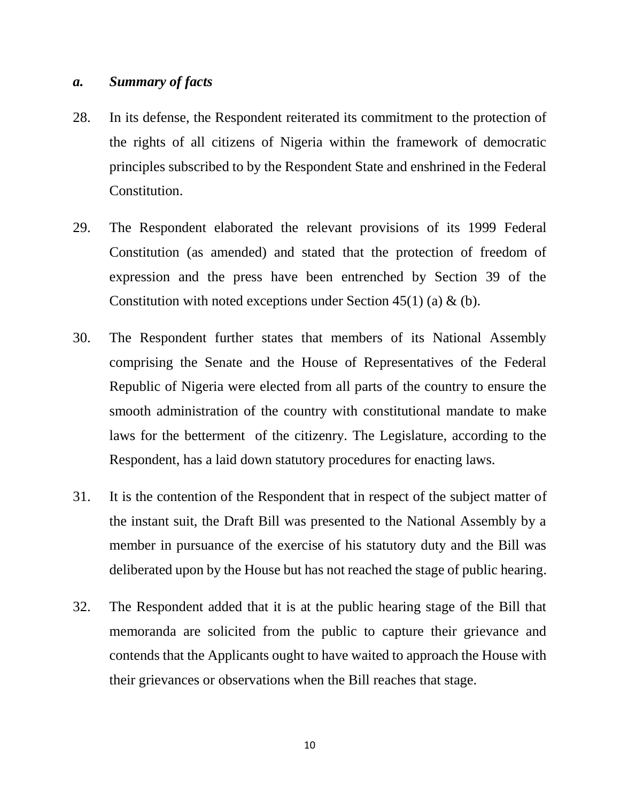## *a. Summary of facts*

- 28. In its defense, the Respondent reiterated its commitment to the protection of the rights of all citizens of Nigeria within the framework of democratic principles subscribed to by the Respondent State and enshrined in the Federal Constitution.
- 29. The Respondent elaborated the relevant provisions of its 1999 Federal Constitution (as amended) and stated that the protection of freedom of expression and the press have been entrenched by Section 39 of the Constitution with noted exceptions under Section  $45(1)$  (a) & (b).
- 30. The Respondent further states that members of its National Assembly comprising the Senate and the House of Representatives of the Federal Republic of Nigeria were elected from all parts of the country to ensure the smooth administration of the country with constitutional mandate to make laws for the betterment of the citizenry. The Legislature, according to the Respondent, has a laid down statutory procedures for enacting laws.
- 31. It is the contention of the Respondent that in respect of the subject matter of the instant suit, the Draft Bill was presented to the National Assembly by a member in pursuance of the exercise of his statutory duty and the Bill was deliberated upon by the House but has not reached the stage of public hearing.
- 32. The Respondent added that it is at the public hearing stage of the Bill that memoranda are solicited from the public to capture their grievance and contends that the Applicants ought to have waited to approach the House with their grievances or observations when the Bill reaches that stage.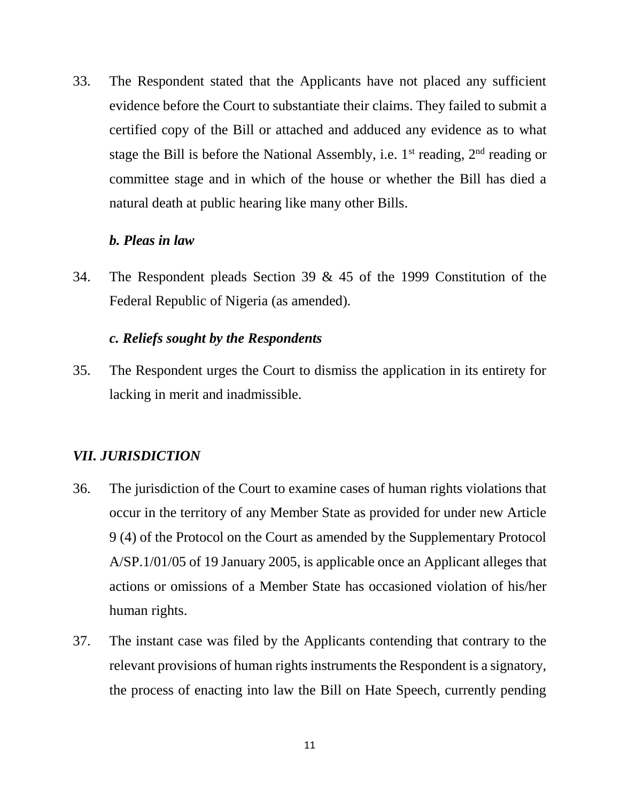33. The Respondent stated that the Applicants have not placed any sufficient evidence before the Court to substantiate their claims. They failed to submit a certified copy of the Bill or attached and adduced any evidence as to what stage the Bill is before the National Assembly, i.e.  $1<sup>st</sup>$  reading,  $2<sup>nd</sup>$  reading or committee stage and in which of the house or whether the Bill has died a natural death at public hearing like many other Bills.

#### *b. Pleas in law*

34. The Respondent pleads Section 39 & 45 of the 1999 Constitution of the Federal Republic of Nigeria (as amended).

## *c. Reliefs sought by the Respondents*

35. The Respondent urges the Court to dismiss the application in its entirety for lacking in merit and inadmissible.

## *VII. JURISDICTION*

- 36. The jurisdiction of the Court to examine cases of human rights violations that occur in the territory of any Member State as provided for under new Article 9 (4) of the Protocol on the Court as amended by the Supplementary Protocol A/SP.1/01/05 of 19 January 2005, is applicable once an Applicant alleges that actions or omissions of a Member State has occasioned violation of his/her human rights.
- 37. The instant case was filed by the Applicants contending that contrary to the relevant provisions of human rights instruments the Respondent is a signatory, the process of enacting into law the Bill on Hate Speech, currently pending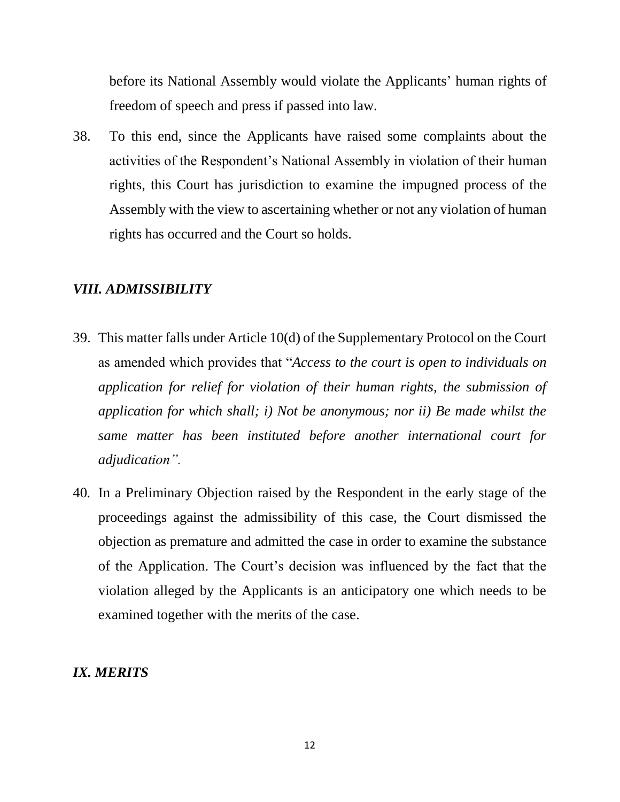before its National Assembly would violate the Applicants' human rights of freedom of speech and press if passed into law.

38. To this end, since the Applicants have raised some complaints about the activities of the Respondent's National Assembly in violation of their human rights, this Court has jurisdiction to examine the impugned process of the Assembly with the view to ascertaining whether or not any violation of human rights has occurred and the Court so holds.

## *VIII. ADMISSIBILITY*

- 39. This matter falls under Article 10(d) of the Supplementary Protocol on the Court as amended which provides that "*Access to the court is open to individuals on application for relief for violation of their human rights, the submission of application for which shall; i) Not be anonymous; nor ii) Be made whilst the same matter has been instituted before another international court for adjudication".*
- 40*.* In a Preliminary Objection raised by the Respondent in the early stage of the proceedings against the admissibility of this case, the Court dismissed the objection as premature and admitted the case in order to examine the substance of the Application. The Court's decision was influenced by the fact that the violation alleged by the Applicants is an anticipatory one which needs to be examined together with the merits of the case.

## *IX. MERITS*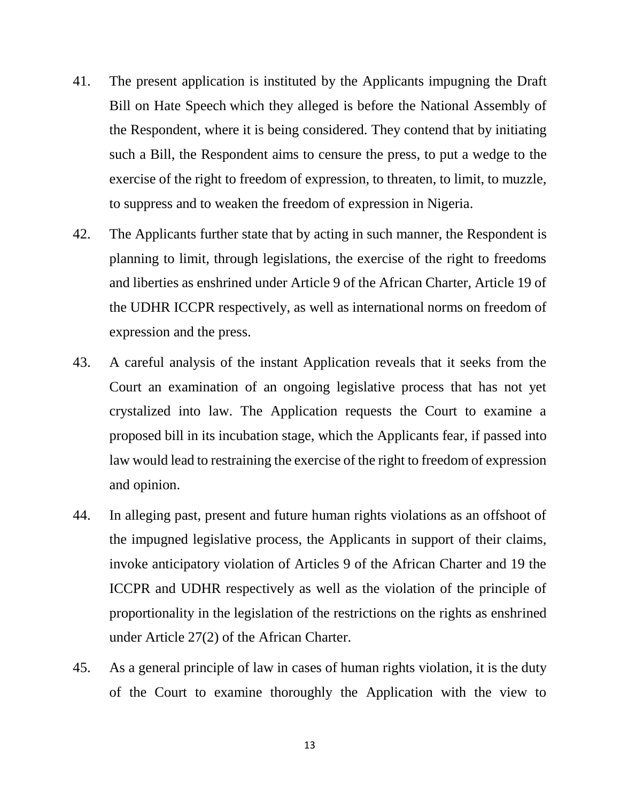- 41. The present application is instituted by the Applicants impugning the Draft Bill on Hate Speech which they alleged is before the National Assembly of the Respondent, where it is being considered. They contend that by initiating such a Bill, the Respondent aims to censure the press, to put a wedge to the exercise of the right to freedom of expression, to threaten, to limit, to muzzle, to suppress and to weaken the freedom of expression in Nigeria.
- 42. The Applicants further state that by acting in such manner, the Respondent is planning to limit, through legislations, the exercise of the right to freedoms and liberties as enshrined under Article 9 of the African Charter, Article 19 of the UDHR ICCPR respectively, as well as international norms on freedom of expression and the press.
- 43. A careful analysis of the instant Application reveals that it seeks from the Court an examination of an ongoing legislative process that has not yet crystalized into law. The Application requests the Court to examine a proposed bill in its incubation stage, which the Applicants fear, if passed into law would lead to restraining the exercise of the right to freedom of expression and opinion.
- 44. In alleging past, present and future human rights violations as an offshoot of the impugned legislative process, the Applicants in support of their claims, invoke anticipatory violation of Articles 9 of the African Charter and 19 the ICCPR and UDHR respectively as well as the violation of the principle of proportionality in the legislation of the restrictions on the rights as enshrined under Article 27(2) of the African Charter.
- 45. As a general principle of law in cases of human rights violation, it is the duty of the Court to examine thoroughly the Application with the view to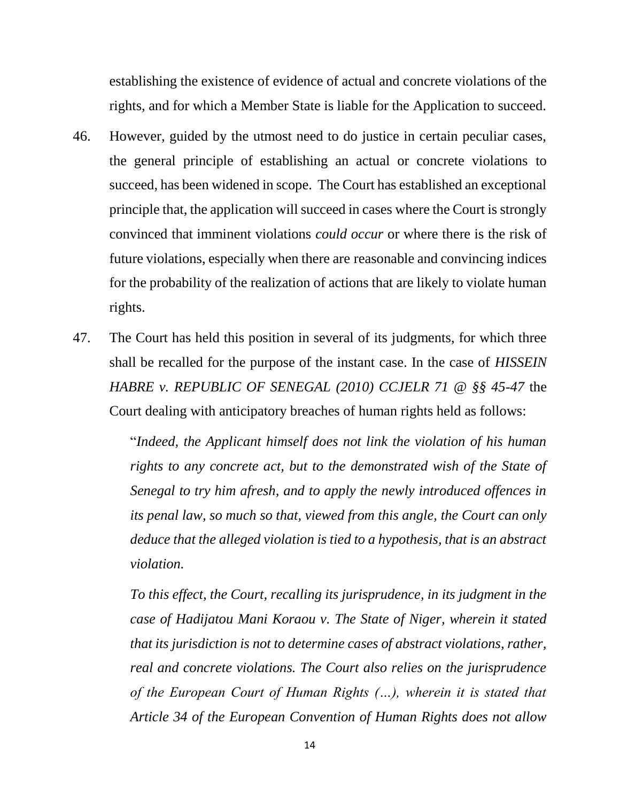establishing the existence of evidence of actual and concrete violations of the rights, and for which a Member State is liable for the Application to succeed.

- 46. However, guided by the utmost need to do justice in certain peculiar cases, the general principle of establishing an actual or concrete violations to succeed, has been widened in scope. The Court has established an exceptional principle that, the application will succeed in cases where the Court is strongly convinced that imminent violations *could occur* or where there is the risk of future violations, especially when there are reasonable and convincing indices for the probability of the realization of actions that are likely to violate human rights.
- 47. The Court has held this position in several of its judgments, for which three shall be recalled for the purpose of the instant case. In the case of *HISSEIN HABRE v. REPUBLIC OF SENEGAL (2010) CCJELR 71 @ §§ 45-47* the Court dealing with anticipatory breaches of human rights held as follows:

"*Indeed, the Applicant himself does not link the violation of his human rights to any concrete act, but to the demonstrated wish of the State of Senegal to try him afresh, and to apply the newly introduced offences in its penal law, so much so that, viewed from this angle, the Court can only deduce that the alleged violation is tied to a hypothesis, that is an abstract violation.*

*To this effect, the Court, recalling its jurisprudence, in its judgment in the case of Hadijatou Mani Koraou v. The State of Niger, wherein it stated that its jurisdiction is not to determine cases of abstract violations, rather, real and concrete violations. The Court also relies on the jurisprudence of the European Court of Human Rights (…), wherein it is stated that Article 34 of the European Convention of Human Rights does not allow*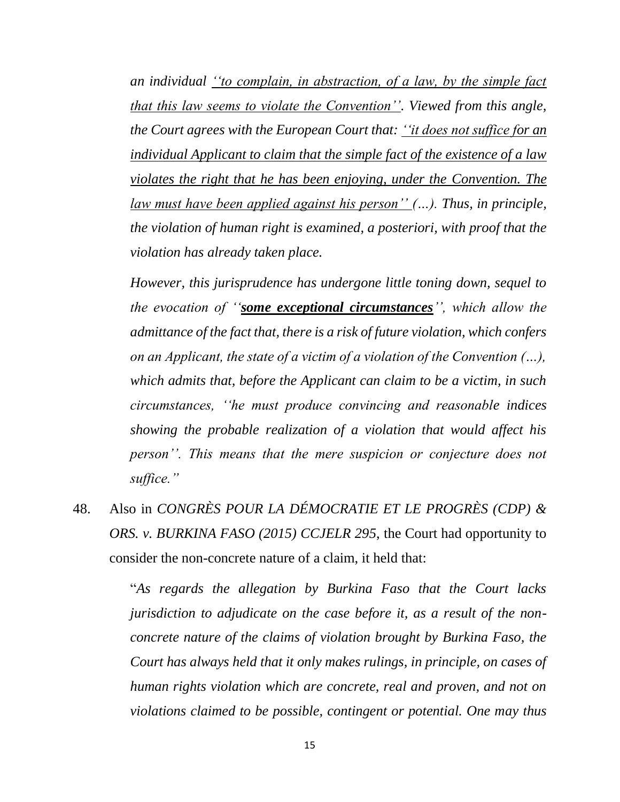*an individual ''to complain, in abstraction, of a law, by the simple fact that this law seems to violate the Convention''. Viewed from this angle, the Court agrees with the European Court that: ''it does not suffice for an individual Applicant to claim that the simple fact of the existence of a law violates the right that he has been enjoying, under the Convention. The law must have been applied against his person'' (…). Thus, in principle, the violation of human right is examined, a posteriori, with proof that the violation has already taken place.*

*However, this jurisprudence has undergone little toning down, sequel to the evocation of ''some exceptional circumstances'', which allow the admittance of the fact that, there is a risk of future violation, which confers on an Applicant, the state of a victim of a violation of the Convention (…), which admits that, before the Applicant can claim to be a victim, in such circumstances, ''he must produce convincing and reasonable indices showing the probable realization of a violation that would affect his person''. This means that the mere suspicion or conjecture does not suffice."*

48. Also in *CONGRÈS POUR LA DÉMOCRATIE ET LE PROGRÈS (CDP) & ORS. v. BURKINA FASO (2015) CCJELR 295*, the Court had opportunity to consider the non-concrete nature of a claim, it held that:

> "*As regards the allegation by Burkina Faso that the Court lacks jurisdiction to adjudicate on the case before it, as a result of the nonconcrete nature of the claims of violation brought by Burkina Faso, the Court has always held that it only makes rulings, in principle, on cases of human rights violation which are concrete, real and proven, and not on violations claimed to be possible, contingent or potential. One may thus*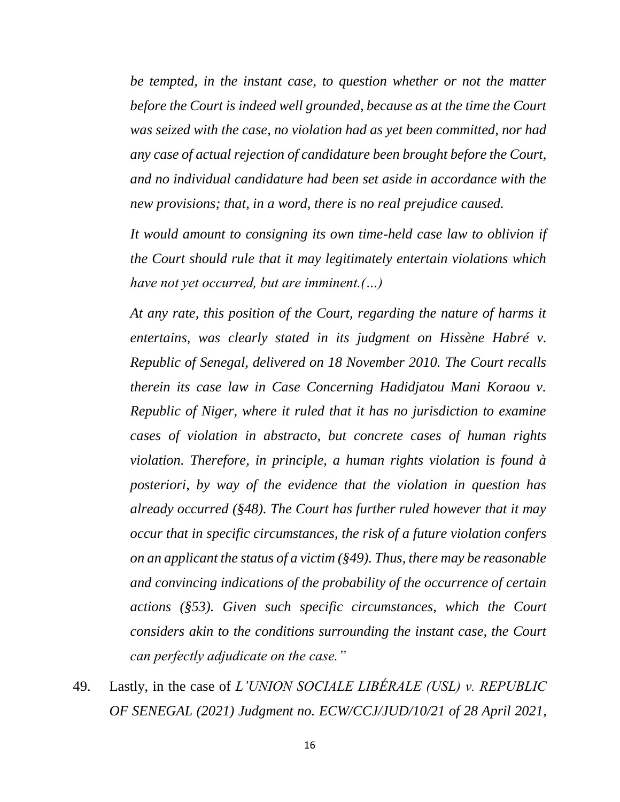*be tempted, in the instant case, to question whether or not the matter before the Court is indeed well grounded, because as at the time the Court was seized with the case, no violation had as yet been committed, nor had any case of actual rejection of candidature been brought before the Court, and no individual candidature had been set aside in accordance with the new provisions; that, in a word, there is no real prejudice caused.*

*It would amount to consigning its own time-held case law to oblivion if the Court should rule that it may legitimately entertain violations which have not yet occurred, but are imminent.(…)*

*At any rate, this position of the Court, regarding the nature of harms it entertains, was clearly stated in its judgment on Hissène Habré v. Republic of Senegal, delivered on 18 November 2010. The Court recalls therein its case law in Case Concerning Hadidjatou Mani Koraou v. Republic of Niger, where it ruled that it has no jurisdiction to examine cases of violation in abstracto, but concrete cases of human rights violation. Therefore, in principle, a human rights violation is found à posteriori, by way of the evidence that the violation in question has already occurred (§48). The Court has further ruled however that it may occur that in specific circumstances, the risk of a future violation confers on an applicant the status of a victim (§49). Thus, there may be reasonable and convincing indications of the probability of the occurrence of certain actions (§53). Given such specific circumstances, which the Court considers akin to the conditions surrounding the instant case, the Court can perfectly adjudicate on the case."*

49. Lastly, in the case of *L'UNION SOCIALE LIBÉRALE (USL) v. REPUBLIC OF SENEGAL (2021) Judgment no. ECW/CCJ/JUD/10/21 of 28 April 2021,*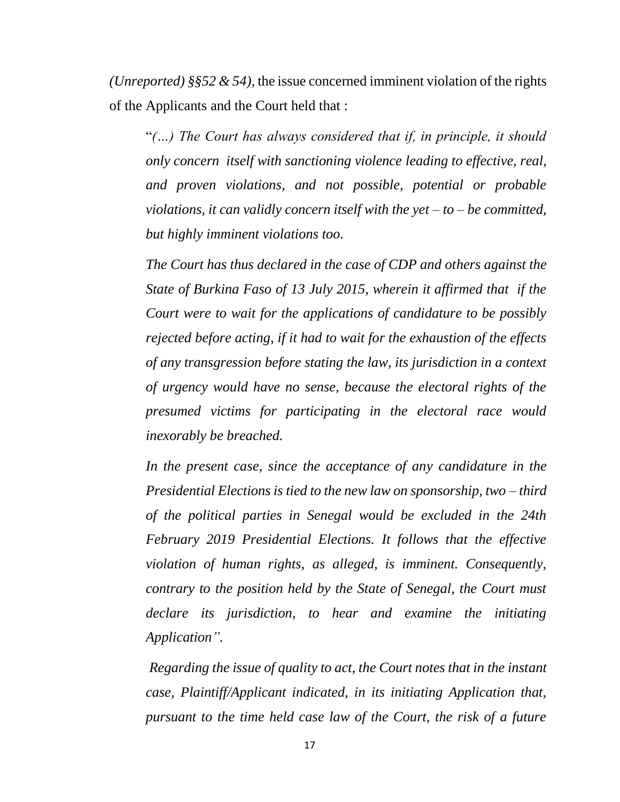*(Unreported) §§52 & 54),* the issue concerned imminent violation of the rights of the Applicants and the Court held that :

"*(…) The Court has always considered that if, in principle, it should only concern itself with sanctioning violence leading to effective, real, and proven violations, and not possible, potential or probable violations, it can validly concern itself with the yet – to – be committed, but highly imminent violations too.*

*The Court has thus declared in the case of CDP and others against the State of Burkina Faso of 13 July 2015, wherein it affirmed that if the Court were to wait for the applications of candidature to be possibly rejected before acting, if it had to wait for the exhaustion of the effects of any transgression before stating the law, its jurisdiction in a context of urgency would have no sense, because the electoral rights of the presumed victims for participating in the electoral race would inexorably be breached.*

*In the present case, since the acceptance of any candidature in the Presidential Elections is tied to the new law on sponsorship, two – third of the political parties in Senegal would be excluded in the 24th February 2019 Presidential Elections. It follows that the effective violation of human rights, as alleged, is imminent. Consequently, contrary to the position held by the State of Senegal, the Court must declare its jurisdiction, to hear and examine the initiating Application".*

*Regarding the issue of quality to act, the Court notes that in the instant case, Plaintiff/Applicant indicated, in its initiating Application that, pursuant to the time held case law of the Court, the risk of a future*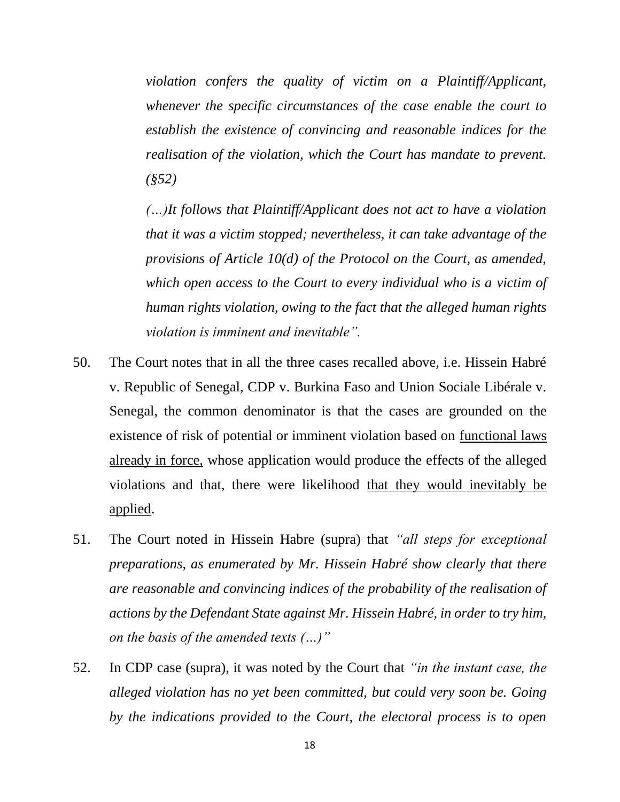*violation confers the quality of victim on a Plaintiff/Applicant, whenever the specific circumstances of the case enable the court to establish the existence of convincing and reasonable indices for the realisation of the violation, which the Court has mandate to prevent. (§52)*

*(…)It follows that Plaintiff/Applicant does not act to have a violation that it was a victim stopped; nevertheless, it can take advantage of the provisions of Article 10(d) of the Protocol on the Court, as amended, which open access to the Court to every individual who is a victim of human rights violation, owing to the fact that the alleged human rights violation is imminent and inevitable".*

- 50. The Court notes that in all the three cases recalled above, i.e. Hissein Habré v. Republic of Senegal, CDP v. Burkina Faso and Union Sociale Libérale v. Senegal, the common denominator is that the cases are grounded on the existence of risk of potential or imminent violation based on functional laws already in force, whose application would produce the effects of the alleged violations and that, there were likelihood that they would inevitably be applied.
- 51. The Court noted in Hissein Habre (supra) that *"all steps for exceptional preparations, as enumerated by Mr. Hissein Habré show clearly that there are reasonable and convincing indices of the probability of the realisation of actions by the Defendant State against Mr. Hissein Habré, in order to try him, on the basis of the amended texts (…)"*
- 52. In CDP case (supra), it was noted by the Court that *"in the instant case, the alleged violation has no yet been committed, but could very soon be. Going by the indications provided to the Court, the electoral process is to open*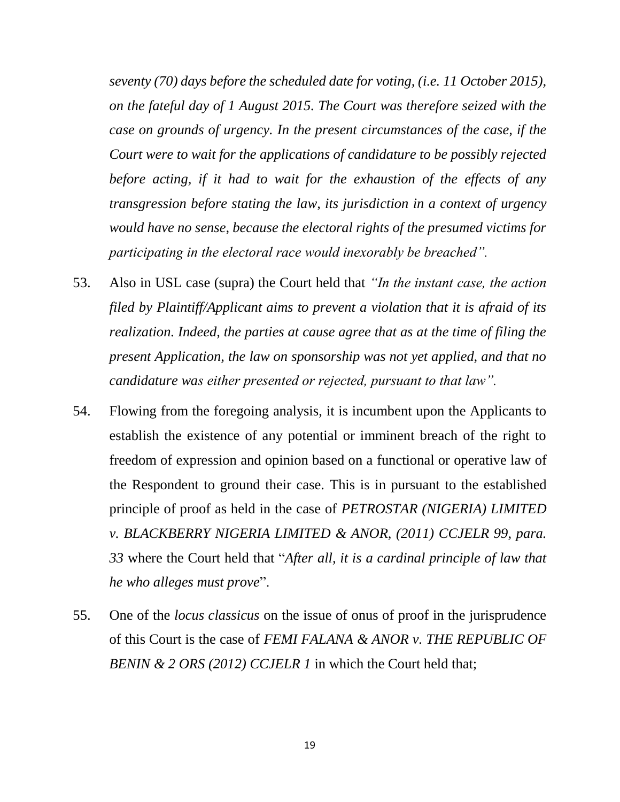*seventy (70) days before the scheduled date for voting, (i.e. 11 October 2015), on the fateful day of 1 August 2015. The Court was therefore seized with the case on grounds of urgency. In the present circumstances of the case, if the Court were to wait for the applications of candidature to be possibly rejected before acting, if it had to wait for the exhaustion of the effects of any transgression before stating the law, its jurisdiction in a context of urgency would have no sense, because the electoral rights of the presumed victims for participating in the electoral race would inexorably be breached".*

- 53. Also in USL case (supra) the Court held that *"In the instant case, the action filed by Plaintiff/Applicant aims to prevent a violation that it is afraid of its realization. Indeed, the parties at cause agree that as at the time of filing the present Application, the law on sponsorship was not yet applied, and that no candidature was either presented or rejected, pursuant to that law".*
- 54. Flowing from the foregoing analysis, it is incumbent upon the Applicants to establish the existence of any potential or imminent breach of the right to freedom of expression and opinion based on a functional or operative law of the Respondent to ground their case. This is in pursuant to the established principle of proof as held in the case of *PETROSTAR (NIGERIA) LIMITED v. BLACKBERRY NIGERIA LIMITED & ANOR, (2011) CCJELR 99, para. 33* where the Court held that "*After all, it is a cardinal principle of law that he who alleges must prove*".
- 55. One of the *locus classicus* on the issue of onus of proof in the jurisprudence of this Court is the case of *FEMI FALANA & ANOR v. THE REPUBLIC OF BENIN & 2 ORS (2012) CCJELR 1* in which the Court held that;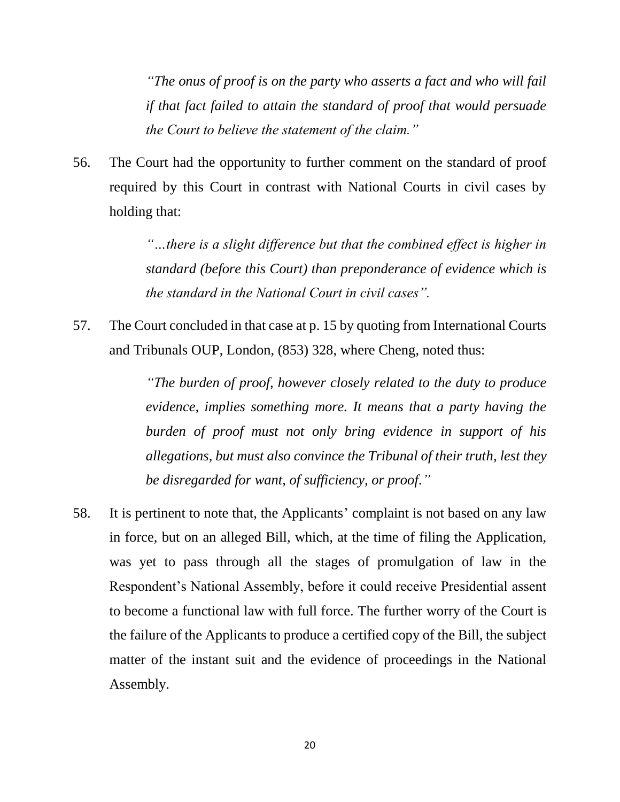*"The onus of proof is on the party who asserts a fact and who will fail if that fact failed to attain the standard of proof that would persuade the Court to believe the statement of the claim."*

56. The Court had the opportunity to further comment on the standard of proof required by this Court in contrast with National Courts in civil cases by holding that:

> *"…there is a slight difference but that the combined effect is higher in standard (before this Court) than preponderance of evidence which is the standard in the National Court in civil cases".*

57. The Court concluded in that case at p. 15 by quoting from International Courts and Tribunals OUP, London, (853) 328, where Cheng, noted thus:

> *"The burden of proof, however closely related to the duty to produce evidence, implies something more. It means that a party having the burden of proof must not only bring evidence in support of his allegations, but must also convince the Tribunal of their truth, lest they be disregarded for want, of sufficiency, or proof."*

58. It is pertinent to note that, the Applicants' complaint is not based on any law in force, but on an alleged Bill, which, at the time of filing the Application, was yet to pass through all the stages of promulgation of law in the Respondent's National Assembly, before it could receive Presidential assent to become a functional law with full force. The further worry of the Court is the failure of the Applicants to produce a certified copy of the Bill, the subject matter of the instant suit and the evidence of proceedings in the National Assembly.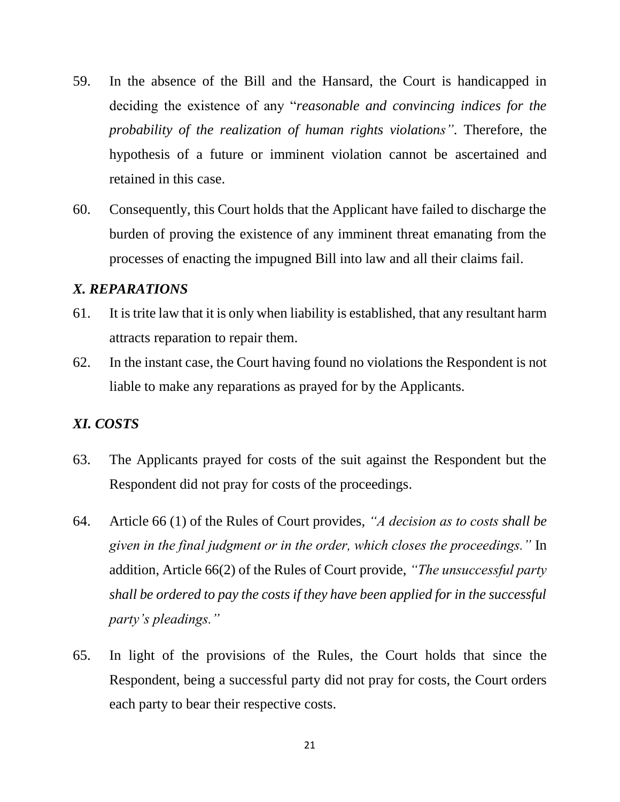- 59. In the absence of the Bill and the Hansard, the Court is handicapped in deciding the existence of any "*reasonable and convincing indices for the probability of the realization of human rights violations"*. Therefore, the hypothesis of a future or imminent violation cannot be ascertained and retained in this case.
- 60. Consequently, this Court holds that the Applicant have failed to discharge the burden of proving the existence of any imminent threat emanating from the processes of enacting the impugned Bill into law and all their claims fail.

## *X. REPARATIONS*

- 61. It is trite law that it is only when liability is established, that any resultant harm attracts reparation to repair them.
- 62. In the instant case, the Court having found no violations the Respondent is not liable to make any reparations as prayed for by the Applicants.

## *XI. COSTS*

- 63. The Applicants prayed for costs of the suit against the Respondent but the Respondent did not pray for costs of the proceedings.
- 64. Article 66 (1) of the Rules of Court provides, *"A decision as to costs shall be given in the final judgment or in the order, which closes the proceedings."* In addition, Article 66(2) of the Rules of Court provide, *"The unsuccessful party shall be ordered to pay the costs if they have been applied for in the successful party's pleadings."*
- 65. In light of the provisions of the Rules, the Court holds that since the Respondent, being a successful party did not pray for costs, the Court orders each party to bear their respective costs.